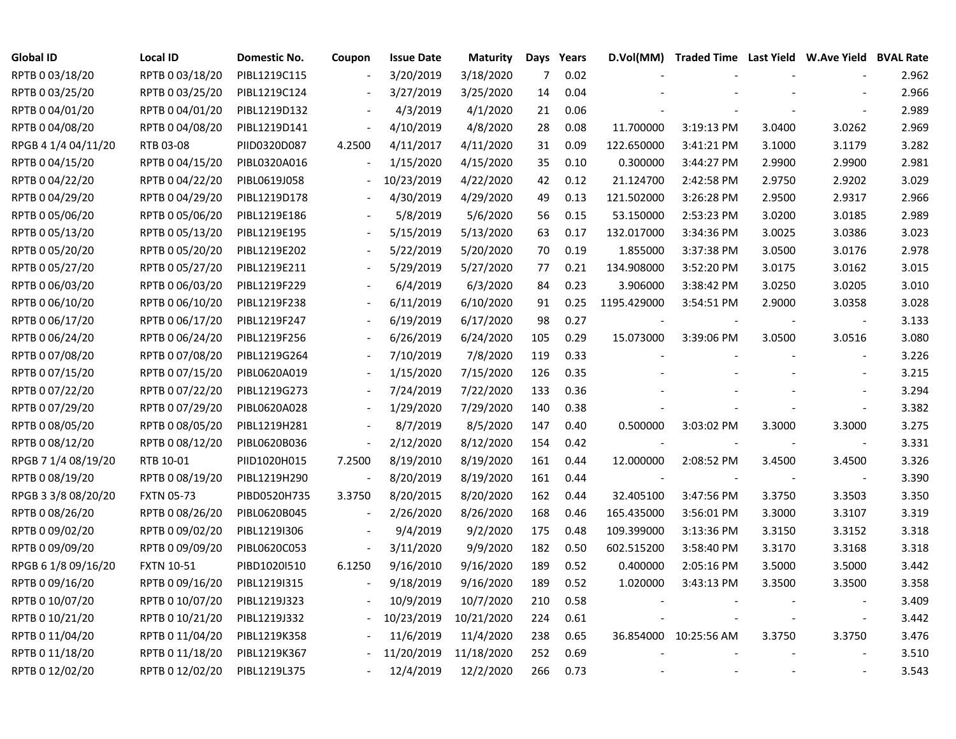| <b>Global ID</b>    | <b>Local ID</b>   | Domestic No. | Coupon                   | <b>Issue Date</b> | <b>Maturity</b> |     | Days Years | D.Vol(MM)   | Traded Time Last Yield W.Ave Yield BVAL Rate |        |                |       |
|---------------------|-------------------|--------------|--------------------------|-------------------|-----------------|-----|------------|-------------|----------------------------------------------|--------|----------------|-------|
| RPTB 0 03/18/20     | RPTB 0 03/18/20   | PIBL1219C115 |                          | 3/20/2019         | 3/18/2020       | 7   | 0.02       |             |                                              |        |                | 2.962 |
| RPTB 0 03/25/20     | RPTB 0 03/25/20   | PIBL1219C124 |                          | 3/27/2019         | 3/25/2020       | 14  | 0.04       |             |                                              |        |                | 2.966 |
| RPTB 0 04/01/20     | RPTB 0 04/01/20   | PIBL1219D132 |                          | 4/3/2019          | 4/1/2020        | 21  | 0.06       |             |                                              |        |                | 2.989 |
| RPTB 0 04/08/20     | RPTB 0 04/08/20   | PIBL1219D141 | $\frac{1}{2}$            | 4/10/2019         | 4/8/2020        | 28  | 0.08       | 11.700000   | 3:19:13 PM                                   | 3.0400 | 3.0262         | 2.969 |
| RPGB 4 1/4 04/11/20 | RTB 03-08         | PIID0320D087 | 4.2500                   | 4/11/2017         | 4/11/2020       | 31  | 0.09       | 122.650000  | 3:41:21 PM                                   | 3.1000 | 3.1179         | 3.282 |
| RPTB 0 04/15/20     | RPTB 0 04/15/20   | PIBL0320A016 | $\frac{1}{2}$            | 1/15/2020         | 4/15/2020       | 35  | 0.10       | 0.300000    | 3:44:27 PM                                   | 2.9900 | 2.9900         | 2.981 |
| RPTB 0 04/22/20     | RPTB 0 04/22/20   | PIBL0619J058 | $\blacksquare$           | 10/23/2019        | 4/22/2020       | 42  | 0.12       | 21.124700   | 2:42:58 PM                                   | 2.9750 | 2.9202         | 3.029 |
| RPTB 0 04/29/20     | RPTB 0 04/29/20   | PIBL1219D178 |                          | 4/30/2019         | 4/29/2020       | 49  | 0.13       | 121.502000  | 3:26:28 PM                                   | 2.9500 | 2.9317         | 2.966 |
| RPTB 0 05/06/20     | RPTB 0 05/06/20   | PIBL1219E186 |                          | 5/8/2019          | 5/6/2020        | 56  | 0.15       | 53.150000   | 2:53:23 PM                                   | 3.0200 | 3.0185         | 2.989 |
| RPTB 0 05/13/20     | RPTB 0 05/13/20   | PIBL1219E195 |                          | 5/15/2019         | 5/13/2020       | 63  | 0.17       | 132.017000  | 3:34:36 PM                                   | 3.0025 | 3.0386         | 3.023 |
| RPTB 0 05/20/20     | RPTB 0 05/20/20   | PIBL1219E202 |                          | 5/22/2019         | 5/20/2020       | 70  | 0.19       | 1.855000    | 3:37:38 PM                                   | 3.0500 | 3.0176         | 2.978 |
| RPTB 0 05/27/20     | RPTB 0 05/27/20   | PIBL1219E211 |                          | 5/29/2019         | 5/27/2020       | 77  | 0.21       | 134.908000  | 3:52:20 PM                                   | 3.0175 | 3.0162         | 3.015 |
| RPTB 0 06/03/20     | RPTB 0 06/03/20   | PIBL1219F229 |                          | 6/4/2019          | 6/3/2020        | 84  | 0.23       | 3.906000    | 3:38:42 PM                                   | 3.0250 | 3.0205         | 3.010 |
| RPTB 0 06/10/20     | RPTB 0 06/10/20   | PIBL1219F238 |                          | 6/11/2019         | 6/10/2020       | 91  | 0.25       | 1195.429000 | 3:54:51 PM                                   | 2.9000 | 3.0358         | 3.028 |
| RPTB 0 06/17/20     | RPTB 0 06/17/20   | PIBL1219F247 |                          | 6/19/2019         | 6/17/2020       | 98  | 0.27       |             |                                              |        |                | 3.133 |
| RPTB 0 06/24/20     | RPTB 0 06/24/20   | PIBL1219F256 |                          | 6/26/2019         | 6/24/2020       | 105 | 0.29       | 15.073000   | 3:39:06 PM                                   | 3.0500 | 3.0516         | 3.080 |
| RPTB 0 07/08/20     | RPTB 0 07/08/20   | PIBL1219G264 |                          | 7/10/2019         | 7/8/2020        | 119 | 0.33       |             |                                              |        |                | 3.226 |
| RPTB 0 07/15/20     | RPTB 0 07/15/20   | PIBL0620A019 | $\overline{\phantom{a}}$ | 1/15/2020         | 7/15/2020       | 126 | 0.35       |             |                                              |        |                | 3.215 |
| RPTB 0 07/22/20     | RPTB 0 07/22/20   | PIBL1219G273 | $\overline{\phantom{a}}$ | 7/24/2019         | 7/22/2020       | 133 | 0.36       |             |                                              |        |                | 3.294 |
| RPTB 0 07/29/20     | RPTB 0 07/29/20   | PIBL0620A028 | $\blacksquare$           | 1/29/2020         | 7/29/2020       | 140 | 0.38       |             |                                              |        |                | 3.382 |
| RPTB 0 08/05/20     | RPTB 0 08/05/20   | PIBL1219H281 |                          | 8/7/2019          | 8/5/2020        | 147 | 0.40       | 0.500000    | 3:03:02 PM                                   | 3.3000 | 3.3000         | 3.275 |
| RPTB 0 08/12/20     | RPTB 0 08/12/20   | PIBL0620B036 | $\overline{\phantom{a}}$ | 2/12/2020         | 8/12/2020       | 154 | 0.42       |             |                                              |        | $\blacksquare$ | 3.331 |
| RPGB 7 1/4 08/19/20 | RTB 10-01         | PIID1020H015 | 7.2500                   | 8/19/2010         | 8/19/2020       | 161 | 0.44       | 12.000000   | 2:08:52 PM                                   | 3.4500 | 3.4500         | 3.326 |
| RPTB 0 08/19/20     | RPTB 0 08/19/20   | PIBL1219H290 | $\overline{\phantom{a}}$ | 8/20/2019         | 8/19/2020       | 161 | 0.44       |             |                                              |        | $\sim$         | 3.390 |
| RPGB 3 3/8 08/20/20 | <b>FXTN 05-73</b> | PIBD0520H735 | 3.3750                   | 8/20/2015         | 8/20/2020       | 162 | 0.44       | 32.405100   | 3:47:56 PM                                   | 3.3750 | 3.3503         | 3.350 |
| RPTB 0 08/26/20     | RPTB 0 08/26/20   | PIBL0620B045 | $\overline{\phantom{a}}$ | 2/26/2020         | 8/26/2020       | 168 | 0.46       | 165.435000  | 3:56:01 PM                                   | 3.3000 | 3.3107         | 3.319 |
| RPTB 0 09/02/20     | RPTB 0 09/02/20   | PIBL1219I306 |                          | 9/4/2019          | 9/2/2020        | 175 | 0.48       | 109.399000  | 3:13:36 PM                                   | 3.3150 | 3.3152         | 3.318 |
| RPTB 0 09/09/20     | RPTB 0 09/09/20   | PIBL0620C053 |                          | 3/11/2020         | 9/9/2020        | 182 | 0.50       | 602.515200  | 3:58:40 PM                                   | 3.3170 | 3.3168         | 3.318 |
| RPGB 6 1/8 09/16/20 | <b>FXTN 10-51</b> | PIBD1020I510 | 6.1250                   | 9/16/2010         | 9/16/2020       | 189 | 0.52       | 0.400000    | 2:05:16 PM                                   | 3.5000 | 3.5000         | 3.442 |
| RPTB 0 09/16/20     | RPTB 0 09/16/20   | PIBL1219I315 |                          | 9/18/2019         | 9/16/2020       | 189 | 0.52       | 1.020000    | 3:43:13 PM                                   | 3.3500 | 3.3500         | 3.358 |
| RPTB 0 10/07/20     | RPTB 0 10/07/20   | PIBL1219J323 |                          | 10/9/2019         | 10/7/2020       | 210 | 0.58       |             |                                              |        |                | 3.409 |
| RPTB 0 10/21/20     | RPTB 0 10/21/20   | PIBL1219J332 | $\blacksquare$           | 10/23/2019        | 10/21/2020      | 224 | 0.61       |             |                                              |        | $\blacksquare$ | 3.442 |
| RPTB 0 11/04/20     | RPTB 0 11/04/20   | PIBL1219K358 |                          | 11/6/2019         | 11/4/2020       | 238 | 0.65       |             | 36.854000 10:25:56 AM                        | 3.3750 | 3.3750         | 3.476 |
| RPTB 0 11/18/20     | RPTB 0 11/18/20   | PIBL1219K367 |                          | 11/20/2019        | 11/18/2020      | 252 | 0.69       |             |                                              |        |                | 3.510 |
| RPTB 0 12/02/20     | RPTB 0 12/02/20   | PIBL1219L375 |                          | 12/4/2019         | 12/2/2020       | 266 | 0.73       |             |                                              |        |                | 3.543 |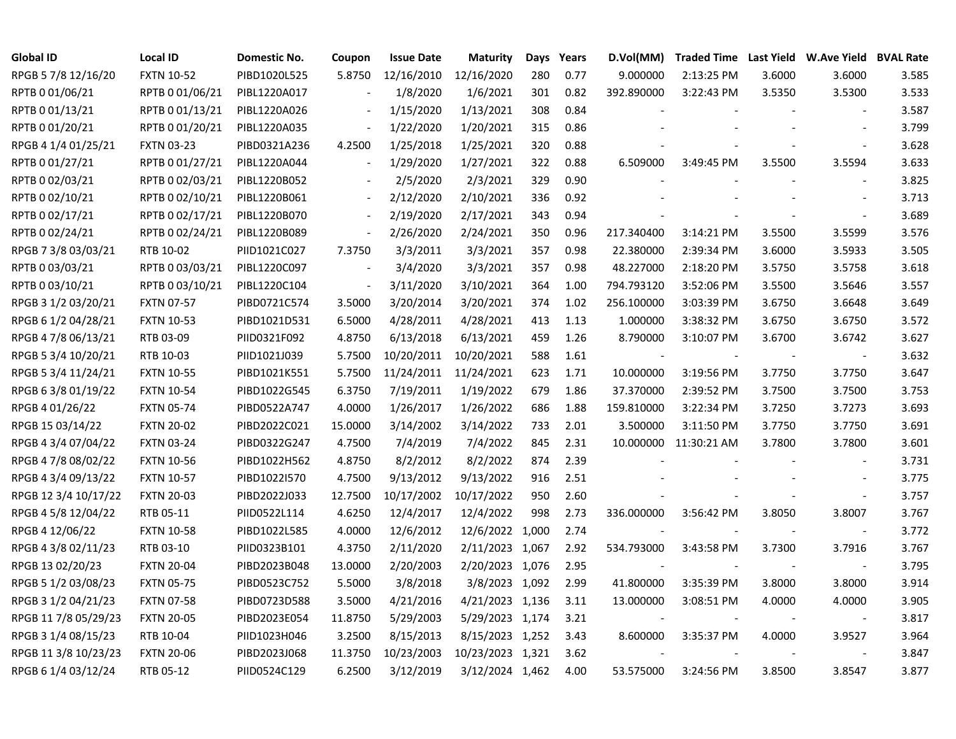| <b>Global ID</b>     | <b>Local ID</b>   | Domestic No. | Coupon                   | <b>Issue Date</b> | <b>Maturity</b>  | Days | Years | D.Vol(MM)  | <b>Traded Time Last Yield</b> |        | <b>W.Ave Yield BVAL Rate</b> |       |
|----------------------|-------------------|--------------|--------------------------|-------------------|------------------|------|-------|------------|-------------------------------|--------|------------------------------|-------|
| RPGB 5 7/8 12/16/20  | <b>FXTN 10-52</b> | PIBD1020L525 | 5.8750                   | 12/16/2010        | 12/16/2020       | 280  | 0.77  | 9.000000   | 2:13:25 PM                    | 3.6000 | 3.6000                       | 3.585 |
| RPTB 0 01/06/21      | RPTB 0 01/06/21   | PIBL1220A017 |                          | 1/8/2020          | 1/6/2021         | 301  | 0.82  | 392.890000 | 3:22:43 PM                    | 3.5350 | 3.5300                       | 3.533 |
| RPTB 0 01/13/21      | RPTB 0 01/13/21   | PIBL1220A026 |                          | 1/15/2020         | 1/13/2021        | 308  | 0.84  |            |                               |        |                              | 3.587 |
| RPTB 0 01/20/21      | RPTB 0 01/20/21   | PIBL1220A035 | $\overline{\phantom{a}}$ | 1/22/2020         | 1/20/2021        | 315  | 0.86  |            |                               |        |                              | 3.799 |
| RPGB 4 1/4 01/25/21  | <b>FXTN 03-23</b> | PIBD0321A236 | 4.2500                   | 1/25/2018         | 1/25/2021        | 320  | 0.88  |            |                               |        | $\overline{\phantom{a}}$     | 3.628 |
| RPTB 0 01/27/21      | RPTB 0 01/27/21   | PIBL1220A044 | $\overline{\phantom{a}}$ | 1/29/2020         | 1/27/2021        | 322  | 0.88  | 6.509000   | 3:49:45 PM                    | 3.5500 | 3.5594                       | 3.633 |
| RPTB 0 02/03/21      | RPTB 0 02/03/21   | PIBL1220B052 |                          | 2/5/2020          | 2/3/2021         | 329  | 0.90  |            |                               |        |                              | 3.825 |
| RPTB 0 02/10/21      | RPTB 0 02/10/21   | PIBL1220B061 | $\blacksquare$           | 2/12/2020         | 2/10/2021        | 336  | 0.92  |            |                               |        |                              | 3.713 |
| RPTB 002/17/21       | RPTB 0 02/17/21   | PIBL1220B070 |                          | 2/19/2020         | 2/17/2021        | 343  | 0.94  |            |                               |        |                              | 3.689 |
| RPTB 0 02/24/21      | RPTB 0 02/24/21   | PIBL1220B089 | $\overline{\phantom{a}}$ | 2/26/2020         | 2/24/2021        | 350  | 0.96  | 217.340400 | 3:14:21 PM                    | 3.5500 | 3.5599                       | 3.576 |
| RPGB 7 3/8 03/03/21  | RTB 10-02         | PIID1021C027 | 7.3750                   | 3/3/2011          | 3/3/2021         | 357  | 0.98  | 22.380000  | 2:39:34 PM                    | 3.6000 | 3.5933                       | 3.505 |
| RPTB 0 03/03/21      | RPTB 0 03/03/21   | PIBL1220C097 | $\sim$                   | 3/4/2020          | 3/3/2021         | 357  | 0.98  | 48.227000  | 2:18:20 PM                    | 3.5750 | 3.5758                       | 3.618 |
| RPTB 0 03/10/21      | RPTB 0 03/10/21   | PIBL1220C104 | $\overline{\phantom{a}}$ | 3/11/2020         | 3/10/2021        | 364  | 1.00  | 794.793120 | 3:52:06 PM                    | 3.5500 | 3.5646                       | 3.557 |
| RPGB 3 1/2 03/20/21  | <b>FXTN 07-57</b> | PIBD0721C574 | 3.5000                   | 3/20/2014         | 3/20/2021        | 374  | 1.02  | 256.100000 | 3:03:39 PM                    | 3.6750 | 3.6648                       | 3.649 |
| RPGB 6 1/2 04/28/21  | <b>FXTN 10-53</b> | PIBD1021D531 | 6.5000                   | 4/28/2011         | 4/28/2021        | 413  | 1.13  | 1.000000   | 3:38:32 PM                    | 3.6750 | 3.6750                       | 3.572 |
| RPGB 4 7/8 06/13/21  | RTB 03-09         | PIID0321F092 | 4.8750                   | 6/13/2018         | 6/13/2021        | 459  | 1.26  | 8.790000   | 3:10:07 PM                    | 3.6700 | 3.6742                       | 3.627 |
| RPGB 5 3/4 10/20/21  | RTB 10-03         | PIID1021J039 | 5.7500                   | 10/20/2011        | 10/20/2021       | 588  | 1.61  |            |                               |        |                              | 3.632 |
| RPGB 5 3/4 11/24/21  | <b>FXTN 10-55</b> | PIBD1021K551 | 5.7500                   | 11/24/2011        | 11/24/2021       | 623  | 1.71  | 10.000000  | 3:19:56 PM                    | 3.7750 | 3.7750                       | 3.647 |
| RPGB 6 3/8 01/19/22  | <b>FXTN 10-54</b> | PIBD1022G545 | 6.3750                   | 7/19/2011         | 1/19/2022        | 679  | 1.86  | 37.370000  | 2:39:52 PM                    | 3.7500 | 3.7500                       | 3.753 |
| RPGB 4 01/26/22      | <b>FXTN 05-74</b> | PIBD0522A747 | 4.0000                   | 1/26/2017         | 1/26/2022        | 686  | 1.88  | 159.810000 | 3:22:34 PM                    | 3.7250 | 3.7273                       | 3.693 |
| RPGB 15 03/14/22     | <b>FXTN 20-02</b> | PIBD2022C021 | 15.0000                  | 3/14/2002         | 3/14/2022        | 733  | 2.01  | 3.500000   | 3:11:50 PM                    | 3.7750 | 3.7750                       | 3.691 |
| RPGB 4 3/4 07/04/22  | <b>FXTN 03-24</b> | PIBD0322G247 | 4.7500                   | 7/4/2019          | 7/4/2022         | 845  | 2.31  | 10.000000  | 11:30:21 AM                   | 3.7800 | 3.7800                       | 3.601 |
| RPGB 4 7/8 08/02/22  | <b>FXTN 10-56</b> | PIBD1022H562 | 4.8750                   | 8/2/2012          | 8/2/2022         | 874  | 2.39  |            |                               |        | $\overline{\phantom{a}}$     | 3.731 |
| RPGB 4 3/4 09/13/22  | <b>FXTN 10-57</b> | PIBD1022I570 | 4.7500                   | 9/13/2012         | 9/13/2022        | 916  | 2.51  |            |                               |        | $\sim$                       | 3.775 |
| RPGB 12 3/4 10/17/22 | <b>FXTN 20-03</b> | PIBD2022J033 | 12.7500                  | 10/17/2002        | 10/17/2022       | 950  | 2.60  |            |                               |        | $\blacksquare$               | 3.757 |
| RPGB 4 5/8 12/04/22  | RTB 05-11         | PIID0522L114 | 4.6250                   | 12/4/2017         | 12/4/2022        | 998  | 2.73  | 336.000000 | 3:56:42 PM                    | 3.8050 | 3.8007                       | 3.767 |
| RPGB 4 12/06/22      | <b>FXTN 10-58</b> | PIBD1022L585 | 4.0000                   | 12/6/2012         | 12/6/2022 1,000  |      | 2.74  |            |                               |        | $\overline{\phantom{a}}$     | 3.772 |
| RPGB 4 3/8 02/11/23  | RTB 03-10         | PIID0323B101 | 4.3750                   | 2/11/2020         | 2/11/2023 1,067  |      | 2.92  | 534.793000 | 3:43:58 PM                    | 3.7300 | 3.7916                       | 3.767 |
| RPGB 13 02/20/23     | <b>FXTN 20-04</b> | PIBD2023B048 | 13.0000                  | 2/20/2003         | 2/20/2023 1,076  |      | 2.95  |            |                               |        |                              | 3.795 |
| RPGB 5 1/2 03/08/23  | <b>FXTN 05-75</b> | PIBD0523C752 | 5.5000                   | 3/8/2018          | 3/8/2023 1,092   |      | 2.99  | 41.800000  | 3:35:39 PM                    | 3.8000 | 3.8000                       | 3.914 |
| RPGB 3 1/2 04/21/23  | <b>FXTN 07-58</b> | PIBD0723D588 | 3.5000                   | 4/21/2016         | 4/21/2023 1,136  |      | 3.11  | 13.000000  | 3:08:51 PM                    | 4.0000 | 4.0000                       | 3.905 |
| RPGB 11 7/8 05/29/23 | <b>FXTN 20-05</b> | PIBD2023E054 | 11.8750                  | 5/29/2003         | 5/29/2023 1,174  |      | 3.21  |            |                               |        | $\overline{\phantom{a}}$     | 3.817 |
| RPGB 3 1/4 08/15/23  | RTB 10-04         | PIID1023H046 | 3.2500                   | 8/15/2013         | 8/15/2023 1,252  |      | 3.43  | 8.600000   | 3:35:37 PM                    | 4.0000 | 3.9527                       | 3.964 |
| RPGB 11 3/8 10/23/23 | <b>FXTN 20-06</b> | PIBD2023J068 | 11.3750                  | 10/23/2003        | 10/23/2023 1,321 |      | 3.62  |            |                               |        |                              | 3.847 |
| RPGB 6 1/4 03/12/24  | RTB 05-12         | PIID0524C129 | 6.2500                   | 3/12/2019         | 3/12/2024 1,462  |      | 4.00  | 53.575000  | 3:24:56 PM                    | 3.8500 | 3.8547                       | 3.877 |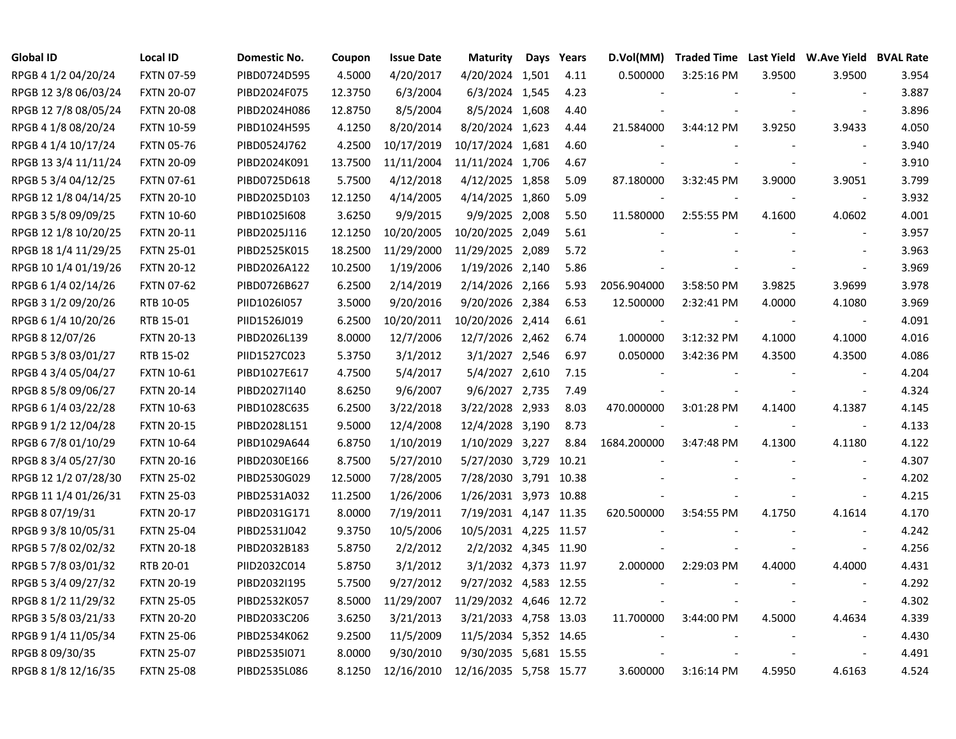| Global ID            | <b>Local ID</b>   | <b>Domestic No.</b> | Coupon  | <b>Issue Date</b> | <b>Maturity</b>        | Days Years | D.Vol(MM)   |                      |        | Traded Time Last Yield W.Ave Yield BVAL Rate |       |
|----------------------|-------------------|---------------------|---------|-------------------|------------------------|------------|-------------|----------------------|--------|----------------------------------------------|-------|
| RPGB 4 1/2 04/20/24  | <b>FXTN 07-59</b> | PIBD0724D595        | 4.5000  | 4/20/2017         | 4/20/2024 1,501        | 4.11       | 0.500000    | 3:25:16 PM           | 3.9500 | 3.9500                                       | 3.954 |
| RPGB 12 3/8 06/03/24 | <b>FXTN 20-07</b> | PIBD2024F075        | 12.3750 | 6/3/2004          | 6/3/2024 1,545         | 4.23       |             |                      |        | $\sim$                                       | 3.887 |
| RPGB 12 7/8 08/05/24 | <b>FXTN 20-08</b> | PIBD2024H086        | 12.8750 | 8/5/2004          | 8/5/2024 1,608         | 4.40       |             |                      |        | $\sim$                                       | 3.896 |
| RPGB 4 1/8 08/20/24  | <b>FXTN 10-59</b> | PIBD1024H595        | 4.1250  | 8/20/2014         | 8/20/2024 1,623        | 4.44       | 21.584000   | 3:44:12 PM           | 3.9250 | 3.9433                                       | 4.050 |
| RPGB 4 1/4 10/17/24  | <b>FXTN 05-76</b> | PIBD0524J762        | 4.2500  | 10/17/2019        | 10/17/2024 1,681       | 4.60       |             |                      |        | $\overline{\phantom{a}}$                     | 3.940 |
| RPGB 13 3/4 11/11/24 | <b>FXTN 20-09</b> | PIBD2024K091        | 13.7500 | 11/11/2004        | 11/11/2024 1,706       | 4.67       |             |                      |        | $\overline{\phantom{a}}$                     | 3.910 |
| RPGB 5 3/4 04/12/25  | <b>FXTN 07-61</b> | PIBD0725D618        | 5.7500  | 4/12/2018         | 4/12/2025 1,858        | 5.09       | 87.180000   | 3:32:45 PM           | 3.9000 | 3.9051                                       | 3.799 |
| RPGB 12 1/8 04/14/25 | <b>FXTN 20-10</b> | PIBD2025D103        | 12.1250 | 4/14/2005         | 4/14/2025 1,860        | 5.09       |             |                      |        | $\overline{\phantom{a}}$                     | 3.932 |
| RPGB 3 5/8 09/09/25  | <b>FXTN 10-60</b> | PIBD1025I608        | 3.6250  | 9/9/2015          | 9/9/2025 2,008         | 5.50       | 11.580000   | 2:55:55 PM           | 4.1600 | 4.0602                                       | 4.001 |
| RPGB 12 1/8 10/20/25 | <b>FXTN 20-11</b> | PIBD2025J116        | 12.1250 | 10/20/2005        | 10/20/2025 2,049       | 5.61       |             |                      |        |                                              | 3.957 |
| RPGB 18 1/4 11/29/25 | <b>FXTN 25-01</b> | PIBD2525K015        | 18.2500 | 11/29/2000        | 11/29/2025 2,089       | 5.72       |             |                      |        | $\overline{\phantom{a}}$                     | 3.963 |
| RPGB 10 1/4 01/19/26 | <b>FXTN 20-12</b> | PIBD2026A122        | 10.2500 | 1/19/2006         | 1/19/2026 2,140        | 5.86       |             |                      |        | $\blacksquare$                               | 3.969 |
| RPGB 6 1/4 02/14/26  | <b>FXTN 07-62</b> | PIBD0726B627        | 6.2500  | 2/14/2019         | 2/14/2026 2,166        | 5.93       | 2056.904000 | 3:58:50 PM           | 3.9825 | 3.9699                                       | 3.978 |
| RPGB 3 1/2 09/20/26  | RTB 10-05         | PIID1026I057        | 3.5000  | 9/20/2016         | 9/20/2026 2,384        | 6.53       | 12.500000   | 2:32:41 PM           | 4.0000 | 4.1080                                       | 3.969 |
| RPGB 6 1/4 10/20/26  | RTB 15-01         | PIID1526J019        | 6.2500  | 10/20/2011        | 10/20/2026 2,414       | 6.61       |             |                      |        | $\overline{\phantom{a}}$                     | 4.091 |
| RPGB 8 12/07/26      | <b>FXTN 20-13</b> | PIBD2026L139        | 8.0000  | 12/7/2006         | 12/7/2026 2,462        | 6.74       | 1.000000    | 3:12:32 PM           | 4.1000 | 4.1000                                       | 4.016 |
| RPGB 5 3/8 03/01/27  | RTB 15-02         | PIID1527C023        | 5.3750  | 3/1/2012          | 3/1/2027 2,546         | 6.97       | 0.050000    | 3:42:36 PM           | 4.3500 | 4.3500                                       | 4.086 |
| RPGB 4 3/4 05/04/27  | <b>FXTN 10-61</b> | PIBD1027E617        | 4.7500  | 5/4/2017          | 5/4/2027 2,610         | 7.15       |             |                      |        |                                              | 4.204 |
| RPGB 8 5/8 09/06/27  | <b>FXTN 20-14</b> | PIBD2027I140        | 8.6250  | 9/6/2007          | 9/6/2027 2,735         | 7.49       |             |                      |        | $\overline{\phantom{a}}$                     | 4.324 |
| RPGB 6 1/4 03/22/28  | <b>FXTN 10-63</b> | PIBD1028C635        | 6.2500  | 3/22/2018         | 3/22/2028 2,933        | 8.03       | 470.000000  | 3:01:28 PM           | 4.1400 | 4.1387                                       | 4.145 |
| RPGB 9 1/2 12/04/28  | <b>FXTN 20-15</b> | PIBD2028L151        | 9.5000  | 12/4/2008         | 12/4/2028 3,190        | 8.73       |             |                      |        | $\overline{\phantom{a}}$                     | 4.133 |
| RPGB 6 7/8 01/10/29  | <b>FXTN 10-64</b> | PIBD1029A644        | 6.8750  | 1/10/2019         | 1/10/2029 3,227        | 8.84       | 1684.200000 | 3:47:48 PM           | 4.1300 | 4.1180                                       | 4.122 |
| RPGB 8 3/4 05/27/30  | <b>FXTN 20-16</b> | PIBD2030E166        | 8.7500  | 5/27/2010         | 5/27/2030 3,729        | 10.21      |             |                      |        | $\blacksquare$                               | 4.307 |
| RPGB 12 1/2 07/28/30 | <b>FXTN 25-02</b> | PIBD2530G029        | 12.5000 | 7/28/2005         | 7/28/2030 3,791 10.38  |            |             |                      |        | $\overline{\phantom{a}}$                     | 4.202 |
| RPGB 11 1/4 01/26/31 | <b>FXTN 25-03</b> | PIBD2531A032        | 11.2500 | 1/26/2006         | 1/26/2031 3,973 10.88  |            |             |                      |        | $\blacksquare$                               | 4.215 |
| RPGB 8 07/19/31      | <b>FXTN 20-17</b> | PIBD2031G171        | 8.0000  | 7/19/2011         | 7/19/2031 4,147 11.35  |            | 620.500000  | 3:54:55 PM           | 4.1750 | 4.1614                                       | 4.170 |
| RPGB 9 3/8 10/05/31  | <b>FXTN 25-04</b> | PIBD2531J042        | 9.3750  | 10/5/2006         | 10/5/2031 4,225 11.57  |            |             |                      |        | $\overline{\phantom{a}}$                     | 4.242 |
| RPGB 5 7/8 02/02/32  | <b>FXTN 20-18</b> | PIBD2032B183        | 5.8750  | 2/2/2012          | 2/2/2032 4,345 11.90   |            |             |                      |        | $\overline{\phantom{a}}$                     | 4.256 |
| RPGB 5 7/8 03/01/32  | RTB 20-01         | PIID2032C014        | 5.8750  | 3/1/2012          | 3/1/2032 4,373 11.97   |            | 2.000000    | 2:29:03 PM           | 4.4000 | 4.4000                                       | 4.431 |
| RPGB 5 3/4 09/27/32  | <b>FXTN 20-19</b> | PIBD2032I195        | 5.7500  | 9/27/2012         | 9/27/2032 4,583 12.55  |            |             |                      |        | $\overline{\phantom{a}}$                     | 4.292 |
| RPGB 8 1/2 11/29/32  | <b>FXTN 25-05</b> | PIBD2532K057        | 8.5000  | 11/29/2007        | 11/29/2032 4,646 12.72 |            |             |                      |        | $\overline{\phantom{a}}$                     | 4.302 |
| RPGB 3 5/8 03/21/33  | <b>FXTN 20-20</b> | PIBD2033C206        | 3.6250  | 3/21/2013         | 3/21/2033 4,758 13.03  |            | 11.700000   | 3:44:00 PM           | 4.5000 | 4.4634                                       | 4.339 |
| RPGB 9 1/4 11/05/34  | <b>FXTN 25-06</b> | PIBD2534K062        | 9.2500  | 11/5/2009         | 11/5/2034 5,352 14.65  |            |             |                      |        |                                              | 4.430 |
| RPGB 8 09/30/35      | <b>FXTN 25-07</b> | PIBD2535I071        | 8.0000  | 9/30/2010         | 9/30/2035 5,681 15.55  |            |             |                      |        | $\overline{\phantom{a}}$                     | 4.491 |
| RPGB 8 1/8 12/16/35  | <b>FXTN 25-08</b> | PIBD2535L086        | 8.1250  | 12/16/2010        | 12/16/2035 5,758 15.77 |            | 3.600000    | $3:16:14 \text{ PM}$ | 4.5950 | 4.6163                                       | 4.524 |